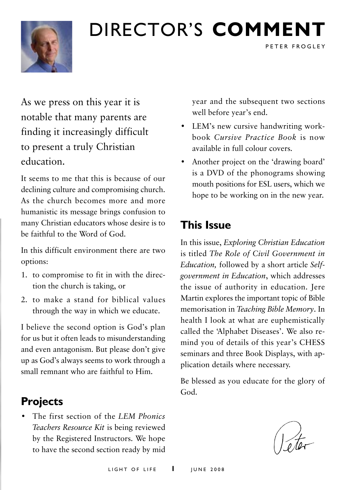

# Director's **comment**

As we press on this year it is notable that many parents are finding it increasingly difficult to present a truly Christian education.

It seems to me that this is because of our declining culture and compromising church. As the church becomes more and more humanistic its message brings confusion to many Christian educators whose desire is to be faithful to the Word of God.

In this difficult environment there are two options:

- 1. to compromise to fit in with the direction the church is taking, or
- 2. to make a stand for biblical values through the way in which we educate.

I believe the second option is God's plan for us but it often leads to misunderstanding and even antagonism. But please don't give up as God's always seems to work through a small remnant who are faithful to Him.

### **Projects**

• The first section of the *LEM Phonics Teachers Resource Kit* is being reviewed by the Registered Instructors. We hope to have the second section ready by mid

year and the subsequent two sections well before year's end.

PETER FROGLEY

- LEM's new cursive handwriting workbook *Cursive Practice Book* is now available in full colour covers.
- Another project on the 'drawing board' is a DVD of the phonograms showing mouth positions for ESL users, which we hope to be working on in the new year.

# **This Issue**

In this issue, *Exploring Christian Education* is titled *The Role of Civil Government in Education,* followed by a short article *Selfgovernment in Education*, which addresses the issue of authority in education. Jere Martin explores the important topic of Bible memorisation in *Teaching Bible Memory*. In health I look at what are euphemistically called the 'Alphabet Diseases'. We also remind you of details of this year's CHESS seminars and three Book Displays, with application details where necessary.

Be blessed as you educate for the glory of God.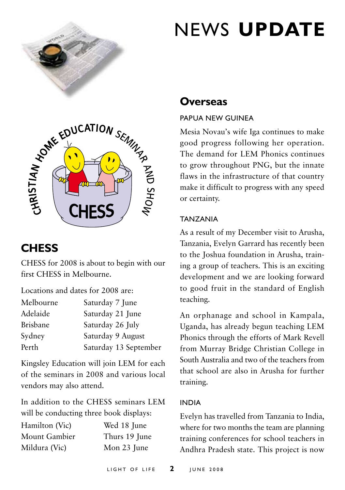

# CHESS SEMIN SP DE CHO

# **Chess**

CHESS for 2008 is about to begin with our first CHESS in Melbourne.

Locations and dates for 2008 are:

| Melbourne       | Saturday 7 June       |
|-----------------|-----------------------|
| Adelaide        | Saturday 21 June      |
| <b>Brisbane</b> | Saturday 26 July      |
| Sydney          | Saturday 9 August     |
| Perth           | Saturday 13 September |
|                 |                       |

Kingsley Education will join LEM for each of the seminars in 2008 and various local vendors may also attend.

In addition to the CHESS seminars LEM will be conducting three book displays:

Hamilton (Vic) Wed 18 June Mount Gambier Thurs 19 June Mildura (Vic) Mon 23 June

# news **update**

# **Overseas**

#### Papua New Guinea

Mesia Novau's wife Iga continues to make good progress following her operation. The demand for LEM Phonics continues to grow throughout PNG, but the innate flaws in the infrastructure of that country make it difficult to progress with any speed or certainty.

#### **TANZANIA**

As a result of my December visit to Arusha, Tanzania, Evelyn Garrard has recently been to the Joshua foundation in Arusha, training a group of teachers. This is an exciting development and we are looking forward to good fruit in the standard of English teaching.

An orphanage and school in Kampala, Uganda, has already begun teaching LEM Phonics through the efforts of Mark Revell from Murray Bridge Christian College in South Australia and two of the teachers from that school are also in Arusha for further training.

#### **INDIA**

Evelyn has travelled from Tanzania to India, where for two months the team are planning training conferences for school teachers in Andhra Pradesh state. This project is now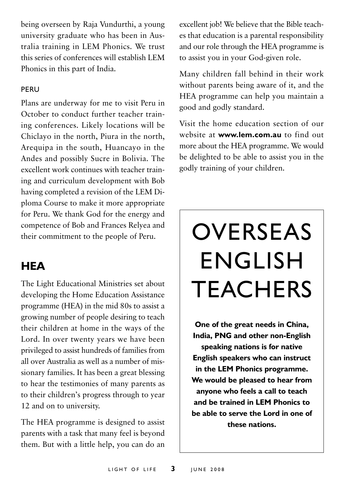being overseen by Raja Vundurthi, a young university graduate who has been in Australia training in LEM Phonics. We trust this series of conferences will establish LEM Phonics in this part of India.

#### **PFRU**

Plans are underway for me to visit Peru in October to conduct further teacher training conferences. Likely locations will be Chiclayo in the north, Piura in the north, Arequipa in the south, Huancayo in the Andes and possibly Sucre in Bolivia. The excellent work continues with teacher training and curriculum development with Bob having completed a revision of the LEM Diploma Course to make it more appropriate for Peru. We thank God for the energy and competence of Bob and Frances Relyea and their commitment to the people of Peru.

# **HEA**

The Light Educational Ministries set about developing the Home Education Assistance programme (HEA) in the mid 80s to assist a growing number of people desiring to teach their children at home in the ways of the Lord. In over twenty years we have been privileged to assist hundreds of families from all over Australia as well as a number of missionary families. It has been a great blessing to hear the testimonies of many parents as to their children's progress through to year 12 and on to university.

The HEA programme is designed to assist parents with a task that many feel is beyond them. But with a little help, you can do an excellent job! We believe that the Bible teaches that education is a parental responsibility and our role through the HEA programme is to assist you in your God-given role.

Many children fall behind in their work without parents being aware of it, and the HEA programme can help you maintain a good and godly standard.

Visit the home education section of our website at **www.lem.com.au** to find out more about the HEA programme. We would be delighted to be able to assist you in the godly training of your children.

# **OVERSEAS ENGLISH TEACHERS**

**One of the great needs in China, India, PNG and other non-English speaking nations is for native English speakers who can instruct in the LEM Phonics programme. We would be pleased to hear from anyone who feels a call to teach and be trained in LEM Phonics to be able to serve the Lord in one of these nations.**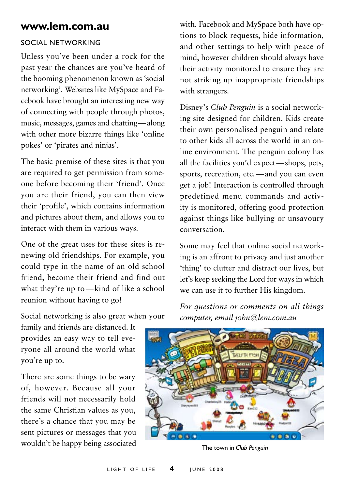#### **www.lem.com.au**

#### Social networking

Unless you've been under a rock for the past year the chances are you've heard of the booming phenomenon known as 'social networking'. Websites like MySpace and Facebook have brought an interesting new way of connecting with people through photos, music, messages, games and chatting—along with other more bizarre things like 'online pokes' or 'pirates and ninjas'.

The basic premise of these sites is that you are required to get permission from someone before becoming their 'friend'. Once you are their friend, you can then view their 'profile', which contains information and pictures about them, and allows you to interact with them in various ways.

One of the great uses for these sites is renewing old friendships. For example, you could type in the name of an old school friend, become their friend and find out what they're up to—kind of like a school reunion without having to go!

with. Facebook and MySpace both have options to block requests, hide information, and other settings to help with peace of mind, however children should always have their activity monitored to ensure they are not striking up inappropriate friendships with strangers.

Disney's *Club Penguin* is a social networking site designed for children. Kids create their own personalised penguin and relate to other kids all across the world in an online environment. The penguin colony has all the facilities you'd expect—shops, pets, sports, recreation, etc.—and you can even get a job! Interaction is controlled through predefined menu commands and activity is monitored, offering good protection against things like bullying or unsavoury conversation.

Some may feel that online social networking is an affront to privacy and just another 'thing' to clutter and distract our lives, but let's keep seeking the Lord for ways in which we can use it to further His kingdom.

Social networking is also great when your

family and friends are distanced. It provides an easy way to tell everyone all around the world what you're up to.

There are some things to be wary of, however. Because all your friends will not necessarily hold the same Christian values as you, there's a chance that you may be sent pictures or messages that you wouldn't be happy being associated *For questions or comments on all things computer, email john@lem.com.au*



The town in *Club Penguin*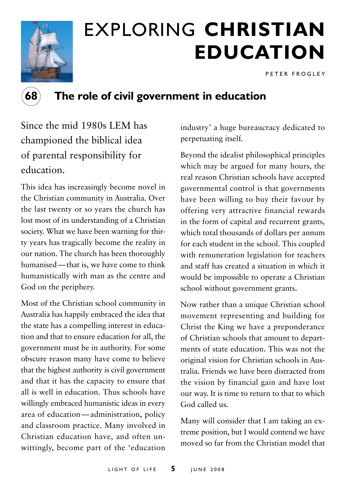

# exploring **christian education**

P E T E R F R O G L E Y



# **68 The role of civil government in education**

Since the mid 1980s LEM has championed the biblical idea of parental responsibility for education.

This idea has increasingly become novel in the Christian community in Australia. Over the last twenty or so years the church has lost most of its understanding of a Christian society. What we have been warning for thirty years has tragically become the reality in our nation. The church has been thoroughly humanised—that is, we have come to think humanistically with man as the centre and God on the periphery.

Most of the Christian school community in Australia has happily embraced the idea that the state has a compelling interest in education and that to ensure education for all, the government must be in authority. For some obscure reason many have come to believe that the highest authority is civil government and that it has the capacity to ensure that all is well in education. Thus schools have willingly embraced humanistic ideas in every area of education—administration, policy and classroom practice. Many involved in Christian education have, and often unwittingly, become part of the 'education

industry' a huge bureaucracy dedicated to perpetuating itself.

Beyond the idealist philosophical principles which may be argued for many hours, the real reason Christian schools have accepted governmental control is that governments have been willing to buy their favour by offering very attractive financial rewards in the form of capital and recurrent grants, which total thousands of dollars per annum for each student in the school. This coupled with remuneration legislation for teachers and staff has created a situation in which it would be impossible to operate a Christian school without government grants.

Now rather than a unique Christian school movement representing and building for Christ the King we have a preponderance of Christian schools that amount to departments of state education. This was not the original vision for Christian schools in Australia. Friends we have been distracted from the vision by financial gain and have lost our way. It is time to return to that to which God called us.

Many will consider that I am taking an extreme position, but I would contend we have moved so far from the Christian model that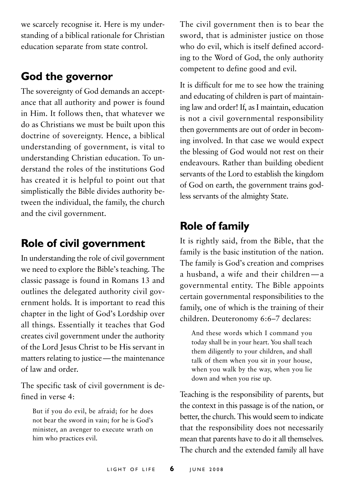we scarcely recognise it. Here is my understanding of a biblical rationale for Christian education separate from state control.

### **God the governor**

The sovereignty of God demands an acceptance that all authority and power is found in Him. It follows then, that whatever we do as Christians we must be built upon this doctrine of sovereignty. Hence, a biblical understanding of government, is vital to understanding Christian education. To understand the roles of the institutions God has created it is helpful to point out that simplistically the Bible divides authority between the individual, the family, the church and the civil government.

# **Role of civil government**

In understanding the role of civil government we need to explore the Bible's teaching. The classic passage is found in Romans 13 and outlines the delegated authority civil government holds. It is important to read this chapter in the light of God's Lordship over all things. Essentially it teaches that God creates civil government under the authority of the Lord Jesus Christ to be His servant in matters relating to justice—the maintenance of law and order.

The specific task of civil government is defined in verse 4:

But if you do evil, be afraid; for he does not bear the sword in vain; for he is God's minister, an avenger to execute wrath on him who practices evil.

The civil government then is to bear the sword, that is administer justice on those who do evil, which is itself defined according to the Word of God, the only authority competent to define good and evil.

It is difficult for me to see how the training and educating of children is part of maintaining law and order! If, as I maintain, education is not a civil governmental responsibility then governments are out of order in becoming involved. In that case we would expect the blessing of God would not rest on their endeavours. Rather than building obedient servants of the Lord to establish the kingdom of God on earth, the government trains godless servants of the almighty State.

# **Role of family**

It is rightly said, from the Bible, that the family is the basic institution of the nation. The family is God's creation and comprises a husband, a wife and their children—a governmental entity. The Bible appoints certain governmental responsibilities to the family, one of which is the training of their children. Deuteronomy 6:6–7 declares:

And these words which I command you today shall be in your heart. You shall teach them diligently to your children, and shall talk of them when you sit in your house, when you walk by the way, when you lie down and when you rise up.

Teaching is the responsibility of parents, but the context in this passage is of the nation, or better, the church. This would seem to indicate that the responsibility does not necessarily mean that parents have to do it all themselves. The church and the extended family all have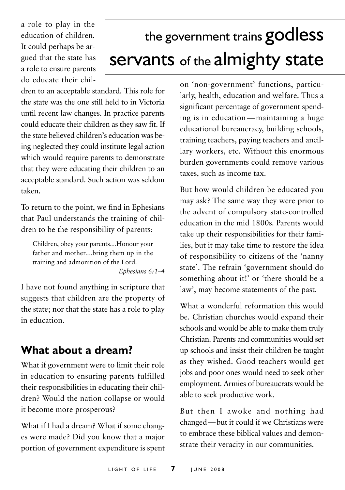a role to play in the education of children. It could perhaps be argued that the state has a role to ensure parents do educate their chil-

# the government trains godless servants of the almighty state

dren to an acceptable standard. This role for the state was the one still held to in Victoria until recent law changes. In practice parents could educate their children as they saw fit. If the state believed children's education was being neglected they could institute legal action which would require parents to demonstrate that they were educating their children to an acceptable standard. Such action was seldom taken.

To return to the point, we find in Ephesians that Paul understands the training of children to be the responsibility of parents:

Children, obey your parents…Honour your father and mother…bring them up in the training and admonition of the Lord. *Ephesians 6:1–4*

I have not found anything in scripture that suggests that children are the property of the state; nor that the state has a role to play in education.

# **What about a dream?**

What if government were to limit their role in education to ensuring parents fulfilled their responsibilities in educating their children? Would the nation collapse or would it become more prosperous?

What if I had a dream? What if some changes were made? Did you know that a major portion of government expenditure is spent on 'non-government' functions, particularly, health, education and welfare. Thus a significant percentage of government spending is in education—maintaining a huge educational bureaucracy, building schools, training teachers, paying teachers and ancillary workers, etc. Without this enormous burden governments could remove various taxes, such as income tax.

But how would children be educated you may ask? The same way they were prior to the advent of compulsory state-controlled education in the mid 1800s. Parents would take up their responsibilities for their families, but it may take time to restore the idea of responsibility to citizens of the 'nanny state'. The refrain 'government should do something about it!' or 'there should be a law', may become statements of the past.

What a wonderful reformation this would be. Christian churches would expand their schools and would be able to make them truly Christian. Parents and communities would set up schools and insist their children be taught as they wished. Good teachers would get jobs and poor ones would need to seek other employment. Armies of bureaucrats would be able to seek productive work.

But then I awoke and nothing had changed—but it could if we Christians were to embrace these biblical values and demonstrate their veracity in our communities.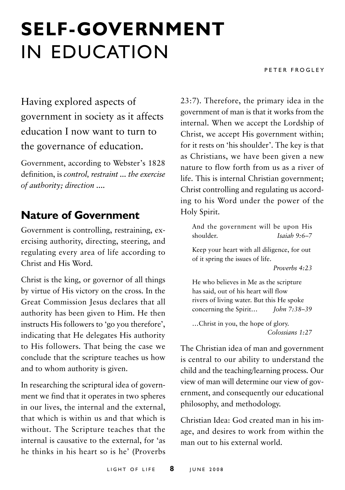# **self-government** in Education

PETER FROGLEY

Having explored aspects of government in society as it affects education I now want to turn to the governance of education.

Government, according to Webster's 1828 definition, is *control, restraint ... the exercise of authority; direction ....*

### **Nature of Government**

Government is controlling, restraining, exercising authority, directing, steering, and regulating every area of life according to Christ and His Word.

Christ is the king, or governor of all things by virtue of His victory on the cross. In the Great Commission Jesus declares that all authority has been given to Him. He then instructs His followers to 'go you therefore', indicating that He delegates His authority to His followers. That being the case we conclude that the scripture teaches us how and to whom authority is given.

In researching the scriptural idea of government we find that it operates in two spheres in our lives, the internal and the external, that which is within us and that which is without. The Scripture teaches that the internal is causative to the external, for 'as he thinks in his heart so is he' (Proverbs 23:7). Therefore, the primary idea in the government of man is that it works from the internal. When we accept the Lordship of Christ, we accept His government within; for it rests on 'his shoulder'. The key is that as Christians, we have been given a new nature to flow forth from us as a river of life. This is internal Christian government; Christ controlling and regulating us according to his Word under the power of the Holy Spirit.

And the government will be upon His shoulder. *Isaiah 9:6–7*

Keep your heart with all diligence, for out of it spring the issues of life.

*Proverbs 4:23*

He who believes in Me as the scripture has said, out of his heart will flow rivers of living water. But this He spoke concerning the Spirit… *John 7:38–39*

…Christ in you, the hope of glory. *Colossians 1:27*

The Christian idea of man and government is central to our ability to understand the child and the teaching/learning process. Our view of man will determine our view of government, and consequently our educational philosophy, and methodology.

Christian Idea: God created man in his image, and desires to work from within the man out to his external world.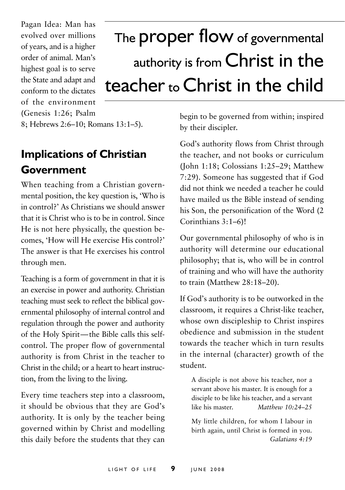Pagan Idea: Man has evolved over millions of years, and is a higher order of animal. Man's highest goal is to serve the State and adapt and conform to the dictates of the environment (Genesis 1:26; Psalm

# The **proper flow** of governmental authority is from Christ in the teacher to Christ in the child

8; Hebrews 2:6–10; Romans 13:1–5).

# **Implications of Christian Government**

When teaching from a Christian governmental position, the key question is, 'Who is in control?' As Christians we should answer that it is Christ who is to be in control. Since He is not here physically, the question becomes, 'How will He exercise His control?' The answer is that He exercises his control through men.

Teaching is a form of government in that it is an exercise in power and authority. Christian teaching must seek to reflect the biblical governmental philosophy of internal control and regulation through the power and authority of the Holy Spirit—the Bible calls this selfcontrol. The proper flow of governmental authority is from Christ in the teacher to Christ in the child; or a heart to heart instruction, from the living to the living.

Every time teachers step into a classroom, it should be obvious that they are God's authority. It is only by the teacher being governed within by Christ and modelling this daily before the students that they can

begin to be governed from within; inspired by their discipler.

God's authority flows from Christ through the teacher, and not books or curriculum (John 1:18; Colossians 1:25–29; Matthew 7:29). Someone has suggested that if God did not think we needed a teacher he could have mailed us the Bible instead of sending his Son, the personification of the Word (2 Corinthians 3:1–6)!

Our governmental philosophy of who is in authority will determine our educational philosophy; that is, who will be in control of training and who will have the authority to train (Matthew 28:18–20).

If God's authority is to be outworked in the classroom, it requires a Christ-like teacher, whose own discipleship to Christ inspires obedience and submission in the student towards the teacher which in turn results in the internal (character) growth of the student.

A disciple is not above his teacher, nor a servant above his master. It is enough for a disciple to be like his teacher, and a servant like his master. *Matthew 10:24–25*

My little children, for whom I labour in birth again, until Christ is formed in you. *Galatians 4:19*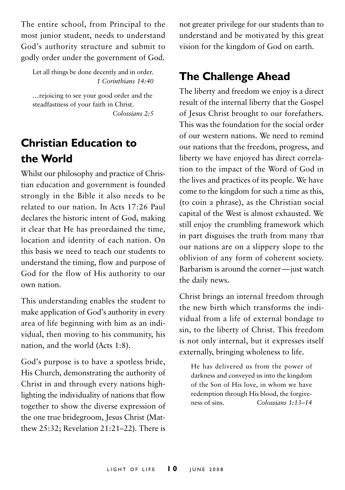The entire school, from Principal to the most junior student, needs to understand God's authority structure and submit to godly order under the government of God.

Let all things be done decently and in order. *1 Corinthians 14:40*

…rejoicing to see your good order and the steadfastness of your faith in Christ. *Colossians 2:5*

# **Christian Education to the World**

Whilst our philosophy and practice of Christian education and government is founded strongly in the Bible it also needs to be related to our nation. In Acts 17:26 Paul declares the historic intent of God, making it clear that He has preordained the time, location and identity of each nation. On this basis we need to teach our students to understand the timing, flow and purpose of God for the flow of His authority to our own nation.

This understanding enables the student to make application of God's authority in every area of life beginning with him as an individual, then moving to his community, his nation, and the world (Acts 1:8).

God's purpose is to have a spotless bride, His Church, demonstrating the authority of Christ in and through every nations highlighting the individuality of nations that flow together to show the diverse expression of the one true bridegroom, Jesus Christ (Matthew 25:32; Revelation 21:21–22). There is

not greater privilege for our students than to understand and be motivated by this great vision for the kingdom of God on earth.

# **The Challenge Ahead**

The liberty and freedom we enjoy is a direct result of the internal liberty that the Gospel of Jesus Christ brought to our forefathers. This was the foundation for the social order of our western nations. We need to remind our nations that the freedom, progress, and liberty we have enjoyed has direct correlation to the impact of the Word of God in the lives and practices of its people. We have come to the kingdom for such a time as this, (to coin a phrase), as the Christian social capital of the West is almost exhausted. We still enjoy the crumbling framework which in part disguises the truth from many that our nations are on a slippery slope to the oblivion of any form of coherent society. Barbarism is around the corner—just watch the daily news.

Christ brings an internal freedom through the new birth which transforms the individual from a life of external bondage to sin, to the liberty of Christ. This freedom is not only internal, but it expresses itself externally, bringing wholeness to life.

He has delivered us from the power of darkness and conveyed us into the kingdom of the Son of His love, in whom we have redemption through His blood, the forgiveness of sins. *Colossians 1:13–14*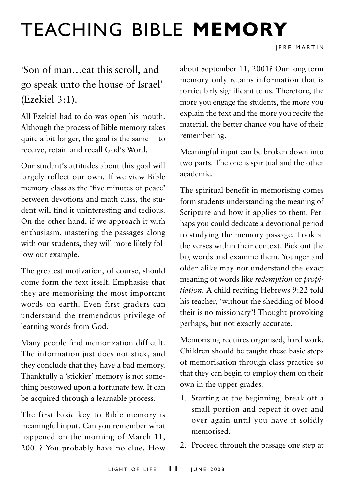# teaching bible **memory**

# 'Son of man…eat this scroll, and go speak unto the house of Israel' (Ezekiel 3:1).

All Ezekiel had to do was open his mouth. Although the process of Bible memory takes quite a bit longer, the goal is the same—to receive, retain and recall God's Word.

Our student's attitudes about this goal will largely reflect our own. If we view Bible memory class as the 'five minutes of peace' between devotions and math class, the student will find it uninteresting and tedious. On the other hand, if we approach it with enthusiasm, mastering the passages along with our students, they will more likely follow our example.

The greatest motivation, of course, should come form the text itself. Emphasise that they are memorising the most important words on earth. Even first graders can understand the tremendous privilege of learning words from God.

Many people find memorization difficult. The information just does not stick, and they conclude that they have a bad memory. Thankfully a 'stickier' memory is not something bestowed upon a fortunate few. It can be acquired through a learnable process.

The first basic key to Bible memory is meaningful input. Can you remember what happened on the morning of March 11, 2001? You probably have no clue. How

about September 11, 2001? Our long term memory only retains information that is particularly significant to us. Therefore, the more you engage the students, the more you explain the text and the more you recite the material, the better chance you have of their remembering.

Meaningful input can be broken down into two parts. The one is spiritual and the other academic.

The spiritual benefit in memorising comes form students understanding the meaning of Scripture and how it applies to them. Perhaps you could dedicate a devotional period to studying the memory passage. Look at the verses within their context. Pick out the big words and examine them. Younger and older alike may not understand the exact meaning of words like *redemption* or *propitiation*. A child reciting Hebrews 9:22 told his teacher, 'without the shedding of blood their is no missionary'! Thought-provoking perhaps, but not exactly accurate.

Memorising requires organised, hard work. Children should be taught these basic steps of memorisation through class practice so that they can begin to employ them on their own in the upper grades.

- 1. Starting at the beginning, break off a small portion and repeat it over and over again until you have it solidly memorised.
- 2. Proceed through the passage one step at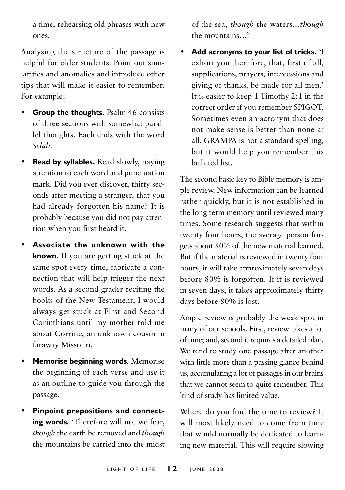a time, rehearsing old phrases with new ones.

Analysing the structure of the passage is helpful for older students. Point out similarities and anomalies and introduce other tips that will make it easier to remember. For example:

- **Group the thoughts.** Psalm 46 consists of three sections with somewhat parallel thoughts. Each ends with the word *Selah*.
- **Read by syllables.** Read slowly, paying attention to each word and punctuation mark. Did you ever discover, thirty seconds after meeting a stranger, that you had already forgotten his name? It is probably because you did not pay attention when you first heard it.
- **Associate the unknown with the known.** If you are getting stuck at the same spot every time, fabricate a connection that will help trigger the next words. As a second grader reciting the books of the New Testament, I would always get stuck at First and Second Corinthians until my mother told me about Corrine, an unknown cousin in faraway Missouri.
- **Memorise beginning words**. Memorise the beginning of each verse and use it as an outline to guide you through the passage.
- **Pinpoint prepositions and connecting words.** 'Therefore will not we fear, *though* the earth be removed and *though* the mountains be carried into the midst

of the sea; *though* the waters…*though* the mountains…'

• **Add acronyms to your list of tricks.** 'I exhort you therefore, that, first of all, supplications, prayers, intercessions and giving of thanks, be made for all men.' It is easier to keep 1 Timothy 2:1 in the correct order if you remember SPIGOT. Sometimes even an acronym that does not make sense is better than none at all. GRAMPA is not a standard spelling, but it would help you remember this bulleted list.

The second basic key to Bible memory is ample review. New information can be learned rather quickly, but it is not established in the long term memory until reviewed many times. Some research suggests that within twenty four hours, the average person forgets about 80% of the new material learned. But if the material is reviewed in twenty four hours, it will take approximately seven days before 80% is forgotten. If it is reviewed in seven days, it takes approximately thirty days before 80% is lost.

Ample review is probably the weak spot in many of our schools. First, review takes a lot of time; and, second it requires a detailed plan. We tend to study one passage after another with little more than a passing glance behind us, accumulating a lot of passages in our brains that we cannot seem to quite remember. This kind of study has limited value.

Where do you find the time to review? It will most likely need to come from time that would normally be dedicated to learning new material. This will require slowing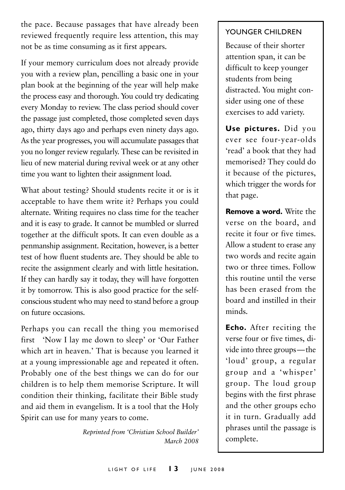the pace. Because passages that have already been reviewed frequently require less attention, this may not be as time consuming as it first appears.

If your memory curriculum does not already provide you with a review plan, pencilling a basic one in your plan book at the beginning of the year will help make the process easy and thorough. You could try dedicating every Monday to review. The class period should cover the passage just completed, those completed seven days ago, thirty days ago and perhaps even ninety days ago. As the year progresses, you will accumulate passages that you no longer review regularly. These can be revisited in lieu of new material during revival week or at any other time you want to lighten their assignment load.

What about testing? Should students recite it or is it acceptable to have them write it? Perhaps you could alternate. Writing requires no class time for the teacher and it is easy to grade. It cannot be mumbled or slurred together at the difficult spots. It can even double as a penmanship assignment. Recitation, however, is a better test of how fluent students are. They should be able to recite the assignment clearly and with little hesitation. If they can hardly say it today, they will have forgotten it by tomorrow. This is also good practice for the selfconscious student who may need to stand before a group on future occasions.

Perhaps you can recall the thing you memorised first 'Now I lay me down to sleep' or 'Our Father which art in heaven.' That is because you learned it at a young impressionable age and repeated it often. Probably one of the best things we can do for our children is to help them memorise Scripture. It will condition their thinking, facilitate their Bible study and aid them in evangelism. It is a tool that the Holy Spirit can use for many years to come.

> *Reprinted from 'Christian School Builder' March 2008*

#### Younger Children

Because of their shorter attention span, it can be difficult to keep younger students from being distracted. You might consider using one of these exercises to add variety.

**Use pictures.** Did you ever see four-year-olds 'read' a book that they had memorised? They could do it because of the pictures, which trigger the words for that page.

**Remove a word.** Write the verse on the board, and recite it four or five times. Allow a student to erase any two words and recite again two or three times. Follow this routine until the verse has been erased from the board and instilled in their minds.

**Echo.** After reciting the verse four or five times, divide into three groups—the 'loud' group, a regular group and a 'whisper' group. The loud group begins with the first phrase and the other groups echo it in turn. Gradually add phrases until the passage is complete.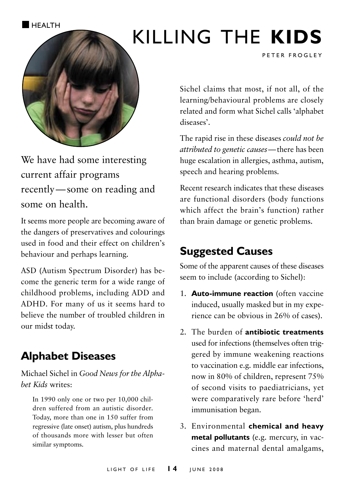**HEALTH** 

# Killing the **kids**



We have had some interesting current affair programs recently—some on reading and some on health.

It seems more people are becoming aware of the dangers of preservatives and colourings used in food and their effect on children's behaviour and perhaps learning.

ASD (Autism Spectrum Disorder) has become the generic term for a wide range of childhood problems, including ADD and ADHD. For many of us it seems hard to believe the number of troubled children in our midst today.

# **Alphabet Diseases**

Michael Sichel in *Good News for the Alphabet Kids* writes:

In 1990 only one or two per 10,000 children suffered from an autistic disorder. Today, more than one in 150 suffer from regressive (late onset) autism, plus hundreds of thousands more with lesser but often similar symptoms.

Sichel claims that most, if not all, of the learning/behavioural problems are closely related and form what Sichel calls 'alphabet diseases'.

PETER FROGLEY

The rapid rise in these diseases *could not be attributed to genetic causes*—there has been huge escalation in allergies, asthma, autism, speech and hearing problems.

Recent research indicates that these diseases are functional disorders (body functions which affect the brain's function) rather than brain damage or genetic problems.

# **Suggested Causes**

Some of the apparent causes of these diseases seem to include (according to Sichel):

- 1. **Auto-immune reaction** (often vaccine induced, usually masked but in my experience can be obvious in 26% of cases).
- 2. The burden of **antibiotic treatments** used for infections (themselves often triggered by immune weakening reactions to vaccination e.g. middle ear infections, now in 80% of children, represent 75% of second visits to paediatricians, yet were comparatively rare before 'herd' immunisation began.
- 3. Environmental **chemical and heavy metal pollutants** (e.g. mercury, in vaccines and maternal dental amalgams,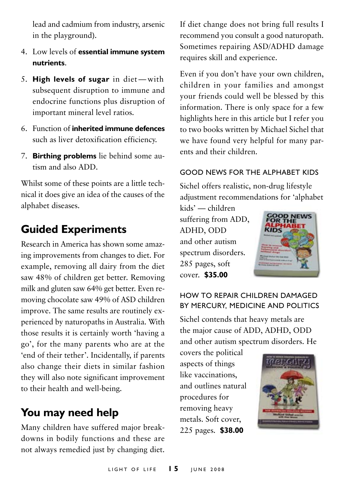lead and cadmium from industry, arsenic in the playground).

- 4. Low levels of **essential immune system nutrients**.
- 5. **High levels of sugar** in diet with subsequent disruption to immune and endocrine functions plus disruption of important mineral level ratios.
- 6. Function of **inherited immune defences** such as liver detoxification efficiency.
- 7. **Birthing problems** lie behind some autism and also ADD.

Whilst some of these points are a little technical it does give an idea of the causes of the alphabet diseases.

### **Guided Experiments**

Research in America has shown some amazing improvements from changes to diet. For example, removing all dairy from the diet saw 48% of children get better. Removing milk and gluten saw 64% get better. Even removing chocolate saw 49% of ASD children improve. The same results are routinely experienced by naturopaths in Australia. With those results it is certainly worth 'having a go', for the many parents who are at the 'end of their tether'. Incidentally, if parents also change their diets in similar fashion they will also note significant improvement to their health and well-being.

### **You may need help**

Many children have suffered major breakdowns in bodily functions and these are not always remedied just by changing diet. If diet change does not bring full results I recommend you consult a good naturopath. Sometimes repairing ASD/ADHD damage requires skill and experience.

Even if you don't have your own children, children in your families and amongst your friends could well be blessed by this information. There is only space for a few highlights here in this article but I refer you to two books written by Michael Sichel that we have found very helpful for many parents and their children.

#### Good News for the Alphabet Kids

Sichel offers realistic, non-drug lifestyle adjustment recommendations for 'alphabet

kids' — children suffering from ADD, ADHD, ODD and other autism spectrum disorders. 285 pages, soft cover. **\$35.00**



#### How to Repair Children Damaged by Mercury, Medicine and Politics

Sichel contends that heavy metals are the major cause of ADD, ADHD, ODD and other autism spectrum disorders. He

covers the political aspects of things like vaccinations, and outlines natural procedures for removing heavy metals. Soft cover, 225 pages. **\$38.00**

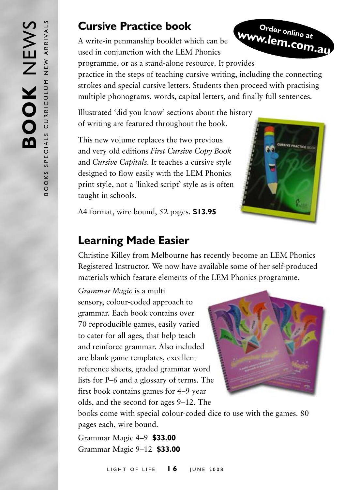### **Cursive Practice book**

A write-in penmanship booklet which can be used in conjunction with the LEM Phonics programme, or as a stand-alone resource. It provides practice in the steps of teaching cursive writing, including the connecting strokes and special cursive letters. Students then proceed with practising multiple phonograms, words, capital letters, and finally full sentences. **Order online at www.lem.com.au**

Illustrated 'did you know' sections about the history of writing are featured throughout the book.

This new volume replaces the two previous and very old editions *First Cursive Copy Book*  and *Cursive Capitals*. It teaches a cursive style designed to flow easily with the LEM Phonics print style, not a 'linked script' style as is often taught in schools.



A4 format, wire bound, 52 pages. **\$13.95**

### **Learning Made Easier**

Christine Killey from Melbourne has recently become an LEM Phonics Registered Instructor. We now have available some of her self-produced materials which feature elements of the LEM Phonics programme.

*Grammar Magic* is a multi

sensory, colour-coded approach to grammar. Each book contains over 70 reproducible games, easily varied to cater for all ages, that help teach and reinforce grammar. Also included are blank game templates, excellent reference sheets, graded grammar word lists for P–6 and a glossary of terms. The first book contains games for 4–9 year olds, and the second for ages 9–12. The



books come with special colour-coded dice to use with the games. 80 pages each, wire bound.

Grammar Magic 4–9 **\$33.00** Grammar Magic 9–12 **\$33.00**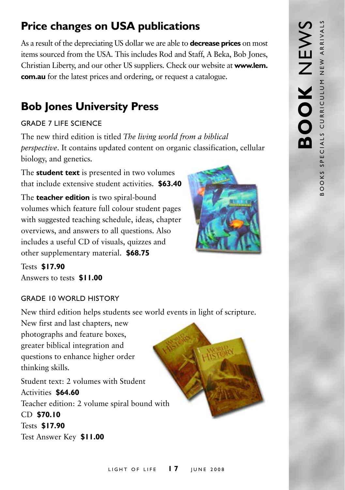# **Price changes on USA publications**

As a result of the depreciating US dollar we are able to **decrease prices** on most items sourced from the USA. This includes Rod and Staff, A Beka, Bob Jones, Christian Liberty, and our other US suppliers. Check our website at **www.lem. com.au** for the latest prices and ordering, or request a catalogue.

# **Bob Jones University Press**

#### Grade 7 Life Science

The new third edition is titled *The living world from a biblical perspective*. It contains updated content on organic classification, cellular biology, and genetics.

The **student text** is presented in two volumes that include extensive student activities. **\$63.40**

The **teacher edition** is two spiral-bound volumes which feature full colour student pages with suggested teaching schedule, ideas, chapter overviews, and answers to all questions. Also includes a useful CD of visuals, quizzes and other supplementary material. **\$68.75**

Tests **\$17.90** Answers to tests **\$11.00**

#### GRADE 10 WORLD HISTORY

New third edition helps students see world events in light of scripture.

New first and last chapters, new photographs and feature boxes, greater biblical integration and questions to enhance higher order thinking skills.

Student text: 2 volumes with Student Activities **\$64.60** Teacher edition: 2 volume spiral bound with CD **\$70.10** Tests **\$17.90** Test Answer Key **\$11.00**

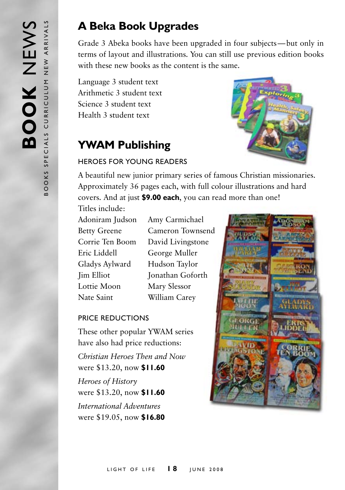# **A Beka Book Upgrades**

Grade 3 Abeka books have been upgraded in four subjects—but only in terms of layout and illustrations. You can still use previous edition books with these new books as the content is the same.

Language 3 student text Arithmetic 3 student text Science 3 student text Health 3 student text

# **YWAM Publishing**



#### Heroes for Young Readers

A beautiful new junior primary series of famous Christian missionaries. Approximately 36 pages each, with full colour illustrations and hard covers. And at just **\$9.00 each**, you can read more than one!

Titles include:

Adoniram Judson Amy Carmichael Eric Liddell George Muller Gladys Aylward Hudson Taylor Lottie Moon Mary Slessor Nate Saint William Carey

Betty Greene Cameron Townsend Corrie Ten Boom David Livingstone **Jim Elliot** Jonathan Goforth

#### Price reductions

These other popular YWAM series have also had price reductions: *Christian Heroes Then and Now* were \$13.20, now **\$11.60** *Heroes of History* were \$13.20, now **\$11.60** *International Adventures* were \$19.05, now **\$16.80**

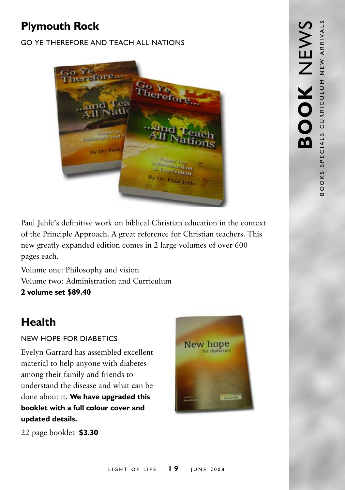# **Plymouth Rock**

#### Go Ye Therefore and Teach All Nations



Paul Jehle's definitive work on biblical Christian education in the context of the Principle Approach. A great reference for Christian teachers. This new greatly expanded edition comes in 2 large volumes of over 600 pages each.

Volume one: Philosophy and vision Volume two: Administration and Curriculum **2 volume set \$89.40**

# **Health**

#### New Hope for Diabetics

Evelyn Garrard has assembled excellent material to help anyone with diabetes among their family and friends to understand the disease and what can be done about it. **We have upgraded this booklet with a full colour cover and updated details.**



22 page booklet **\$3.30**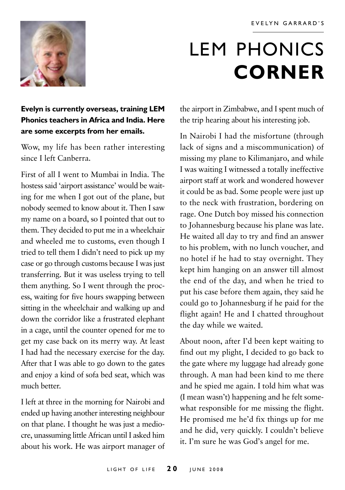

# LEM PHONICS **corner**

#### **Evelyn is currently overseas, training LEM Phonics teachers in Africa and India. Here are some excerpts from her emails.**

Wow, my life has been rather interesting since I left Canberra.

First of all I went to Mumbai in India. The hostess said 'airport assistance' would be waiting for me when I got out of the plane, but nobody seemed to know about it. Then I saw my name on a board, so I pointed that out to them. They decided to put me in a wheelchair and wheeled me to customs, even though I tried to tell them I didn't need to pick up my case or go through customs because I was just transferring. But it was useless trying to tell them anything. So I went through the process, waiting for five hours swapping between sitting in the wheelchair and walking up and down the corridor like a frustrated elephant in a cage, until the counter opened for me to get my case back on its merry way. At least I had had the necessary exercise for the day. After that I was able to go down to the gates and enjoy a kind of sofa bed seat, which was much better.

I left at three in the morning for Nairobi and ended up having another interesting neighbour on that plane. I thought he was just a mediocre, unassuming little African until I asked him about his work. He was airport manager of

the airport in Zimbabwe, and I spent much of the trip hearing about his interesting job.

In Nairobi I had the misfortune (through lack of signs and a miscommunication) of missing my plane to Kilimanjaro, and while I was waiting I witnessed a totally ineffective airport staff at work and wondered however it could be as bad. Some people were just up to the neck with frustration, bordering on rage. One Dutch boy missed his connection to Johannesburg because his plane was late. He waited all day to try and find an answer to his problem, with no lunch voucher, and no hotel if he had to stay overnight. They kept him hanging on an answer till almost the end of the day, and when he tried to put his case before them again, they said he could go to Johannesburg if he paid for the flight again! He and I chatted throughout the day while we waited.

About noon, after I'd been kept waiting to find out my plight, I decided to go back to the gate where my luggage had already gone through. A man had been kind to me there and he spied me again. I told him what was (I mean wasn't) happening and he felt somewhat responsible for me missing the flight. He promised me he'd fix things up for me and he did, very quickly. I couldn't believe it. I'm sure he was God's angel for me.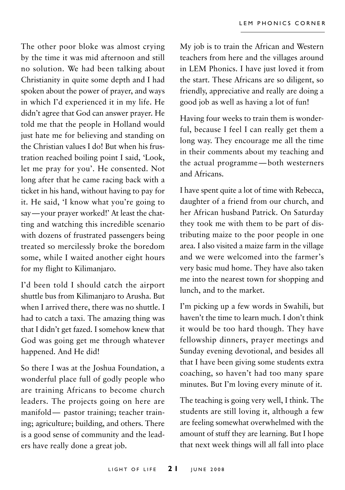The other poor bloke was almost crying by the time it was mid afternoon and still no solution. We had been talking about Christianity in quite some depth and I had spoken about the power of prayer, and ways in which I'd experienced it in my life. He didn't agree that God can answer prayer. He told me that the people in Holland would just hate me for believing and standing on the Christian values I do! But when his frustration reached boiling point I said, 'Look, let me pray for you'. He consented. Not long after that he came racing back with a ticket in his hand, without having to pay for it. He said, 'I know what you're going to say—your prayer worked!' At least the chatting and watching this incredible scenario with dozens of frustrated passengers being treated so mercilessly broke the boredom some, while I waited another eight hours for my flight to Kilimanjaro.

I'd been told I should catch the airport shuttle bus from Kilimanjaro to Arusha. But when I arrived there, there was no shuttle. I had to catch a taxi. The amazing thing was that I didn't get fazed. I somehow knew that God was going get me through whatever happened. And He did!

So there I was at the Joshua Foundation, a wonderful place full of godly people who are training Africans to become church leaders. The projects going on here are manifold— pastor training; teacher training; agriculture; building, and others. There is a good sense of community and the leaders have really done a great job.

My job is to train the African and Western teachers from here and the villages around in LEM Phonics. I have just loved it from the start. These Africans are so diligent, so friendly, appreciative and really are doing a good job as well as having a lot of fun!

Having four weeks to train them is wonderful, because I feel I can really get them a long way. They encourage me all the time in their comments about my teaching and the actual programme—both westerners and Africans.

I have spent quite a lot of time with Rebecca, daughter of a friend from our church, and her African husband Patrick. On Saturday they took me with them to be part of distributing maize to the poor people in one area. I also visited a maize farm in the village and we were welcomed into the farmer's very basic mud home. They have also taken me into the nearest town for shopping and lunch, and to the market.

I'm picking up a few words in Swahili, but haven't the time to learn much. I don't think it would be too hard though. They have fellowship dinners, prayer meetings and Sunday evening devotional, and besides all that I have been giving some students extra coaching, so haven't had too many spare minutes. But I'm loving every minute of it.

The teaching is going very well, I think. The students are still loving it, although a few are feeling somewhat overwhelmed with the amount of stuff they are learning. But I hope that next week things will all fall into place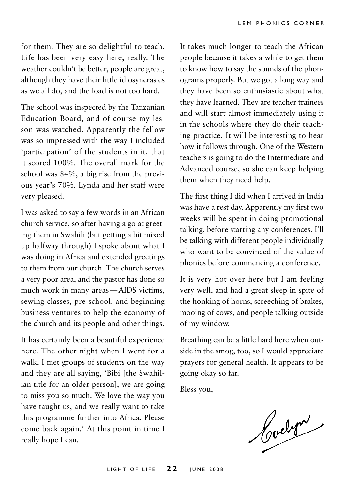for them. They are so delightful to teach. Life has been very easy here, really. The weather couldn't be better, people are great, although they have their little idiosyncrasies as we all do, and the load is not too hard.

The school was inspected by the Tanzanian Education Board, and of course my lesson was watched. Apparently the fellow was so impressed with the way I included 'participation' of the students in it, that it scored 100%. The overall mark for the school was 84%, a big rise from the previous year's 70%. Lynda and her staff were very pleased.

I was asked to say a few words in an African church service, so after having a go at greeting them in Swahili (but getting a bit mixed up halfway through) I spoke about what I was doing in Africa and extended greetings to them from our church. The church serves a very poor area, and the pastor has done so much work in many areas—AIDS victims, sewing classes, pre-school, and beginning business ventures to help the economy of the church and its people and other things.

It has certainly been a beautiful experience here. The other night when I went for a walk, I met groups of students on the way and they are all saying, 'Bibi [the Swahilian title for an older person], we are going to miss you so much. We love the way you have taught us, and we really want to take this programme further into Africa. Please come back again.' At this point in time I really hope I can.

It takes much longer to teach the African people because it takes a while to get them to know how to say the sounds of the phonograms properly. But we got a long way and they have been so enthusiastic about what they have learned. They are teacher trainees and will start almost immediately using it in the schools where they do their teaching practice. It will be interesting to hear how it follows through. One of the Western teachers is going to do the Intermediate and Advanced course, so she can keep helping them when they need help.

The first thing I did when I arrived in India was have a rest day. Apparently my first two weeks will be spent in doing promotional talking, before starting any conferences. I'll be talking with different people individually who want to be convinced of the value of phonics before commencing a conference.

It is very hot over here but I am feeling very well, and had a great sleep in spite of the honking of horns, screeching of brakes, mooing of cows, and people talking outside of my window.

Breathing can be a little hard here when outside in the smog, too, so I would appreciate prayers for general health. It appears to be going okay so far.

Bless you,

Cochri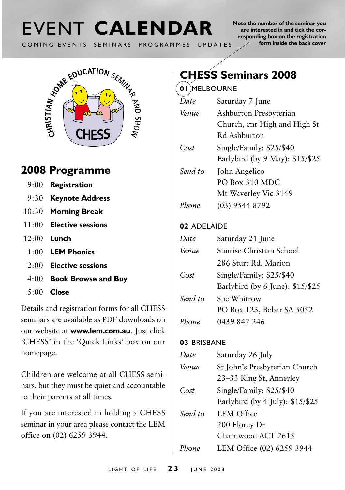# COMING EVENTS SEMINARS PROGRAMMES UPDATES

**Note the number of the seminar you are interested in and tick the corresponding box on the registration form inside the back cover**



# **2008 Programme**

- 9:00 **Registration**
- 9:30 **Keynote Address**
- 10:30 **Morning Break**
- 11:00 **Elective sessions**
- 12:00 **Lunch**
	- 1:00 **LEM Phonics**
	- 2:00 **Elective sessions**
	- 4:00 **Book Browse and Buy**
	- 5:00 **Close**

Details and registration forms for all CHESS seminars are available as PDF downloads on our website at **www.lem.com.au**. Just click 'CHESS' in the 'Quick Links' box on our homepage.

Children are welcome at all CHESS seminars, but they must be quiet and accountable to their parents at all times.

If you are interested in holding a CHESS seminar in your area please contact the LEM office on (02) 6259 3944.

# **CHESS Seminars 2008**

#### **01** Melbourne

| Date    | Saturday 7 June                 |  |
|---------|---------------------------------|--|
| Venue   | Ashburton Presbyterian          |  |
|         | Church, cnr High and High St    |  |
|         | Rd Ashburton                    |  |
| Cost    | Single/Family: \$25/\$40        |  |
|         | Earlybird (by 9 May): \$15/\$25 |  |
| Send to | John Angelico                   |  |
|         | PO Box 310 MDC                  |  |
|         | Mt Waverley Vic 3149            |  |
| Phone   | (03) 9544 8792                  |  |
|         |                                 |  |

#### **02** Adelaide

| Date    | Saturday 21 June                 |  |
|---------|----------------------------------|--|
| Venue   | Sunrise Christian School         |  |
|         | 286 Sturt Rd, Marion             |  |
| Cost    | Single/Family: \$25/\$40         |  |
|         | Earlybird (by 6 June): \$15/\$25 |  |
| Send to | Sue Whitrow                      |  |
|         | PO Box 123, Belair SA 5052       |  |
| Phone   | 0439 847 246                     |  |

#### 03 BRISBANE

| Saturday 26 July                                         |
|----------------------------------------------------------|
| St John's Presbyterian Church<br>23-33 King St, Annerley |
| Single/Family: \$25/\$40                                 |
| Earlybird (by 4 July): \$15/\$25                         |
| LEM Office                                               |
| 200 Florey Dr                                            |
| Charnwood ACT 2615                                       |
| LEM Office (02) 6259 3944                                |
|                                                          |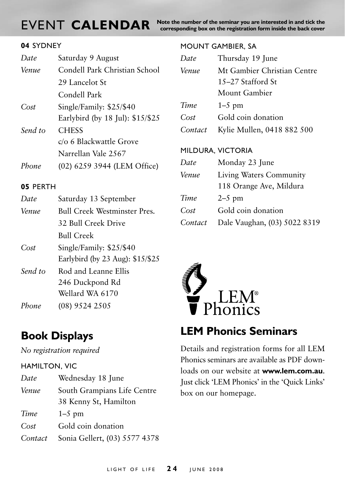**EVENT CALENDAR** Note the number of the seminar you are interested in and tick the **corresponding** box on the registration form inside the back cover

#### **04** Sydney

| Date    | Saturday 9 August                |  |
|---------|----------------------------------|--|
| Venue   | Condell Park Christian School    |  |
|         | 29 Lancelot St                   |  |
|         | Condell Park                     |  |
| Cost    | Single/Family: \$25/\$40         |  |
|         | Earlybird (by 18 Jul): \$15/\$25 |  |
| Send to | <b>CHESS</b>                     |  |
|         | c/o 6 Blackwattle Grove          |  |
|         | Narrellan Vale 2567              |  |
| Phone   | (02) 6259 3944 (LEM Office)      |  |
|         |                                  |  |

#### **05 PERTH**

| Saturday 13 September               |  |
|-------------------------------------|--|
| <b>Bull Creek Westminster Pres.</b> |  |
| 32 Bull Creek Drive                 |  |
| <b>Bull Creek</b>                   |  |
| Single/Family: \$25/\$40            |  |
| Earlybird (by 23 Aug): \$15/\$25    |  |
| Rod and Leanne Ellis                |  |
| 246 Duckpond Rd                     |  |
| Wellard WA 6170                     |  |
| $(08)$ 9524 2505                    |  |
|                                     |  |

### **Book Displays**

*No registration required*

#### Hamilton, Vic

| Date    | Wednesday 18 June             |  |
|---------|-------------------------------|--|
| Venue   | South Grampians Life Centre   |  |
|         | 38 Kenny St, Hamilton         |  |
| Time    | $1-5$ pm                      |  |
| Cost    | Gold coin donation            |  |
| Contact | Sonia Gellert, (03) 5577 4378 |  |

#### Mount gambier, SA

| Date    | Thursday 19 June            |  |
|---------|-----------------------------|--|
| Venue   | Mt Gambier Christian Centre |  |
|         | 15–27 Stafford St           |  |
|         | Mount Gambier               |  |
| Time    | $1-5$ pm                    |  |
| Cost    | Gold coin donation          |  |
| Contact | Kylie Mullen, 0418 882 500  |  |
|         | MILDURA, VICTORIA           |  |
| Date    | Monday 23 June              |  |
| Venue   | Living Waters Community     |  |
|         | 118 Orange Ave, Mildura     |  |
| Time    | $2-5$ pm                    |  |

- Cost Gold coin donation
- *Contact* Dale Vaughan, (03) 5022 8319



### **LEM Phonics Seminars**

Details and registration forms for all LEM Phonics seminars are available as PDF downloads on our website at **www.lem.com.au**. Just click 'LEM Phonics' in the 'Quick Links' box on our homepage.